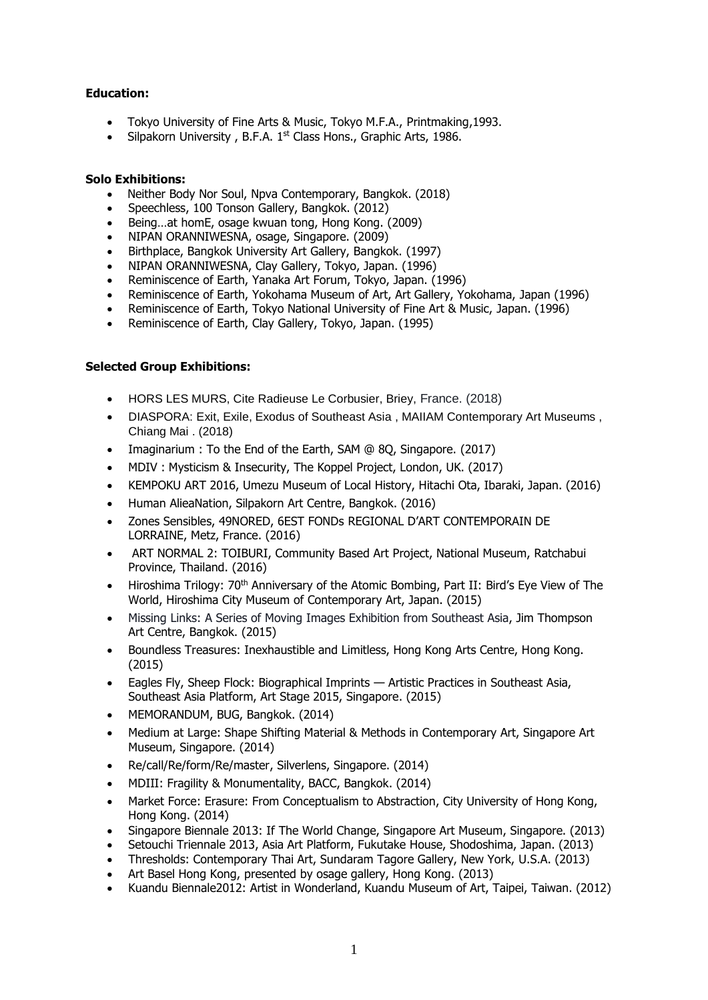## **Education:**

- Tokyo University of Fine Arts & Music, Tokyo M.F.A., Printmaking,1993.
- Silpakorn University, B.F.A. 1<sup>st</sup> Class Hons., Graphic Arts, 1986.

## **Solo Exhibitions:**

- Neither Body Nor Soul, Npva Contemporary, Bangkok. (2018)
- Speechless, 100 Tonson Gallery, Bangkok. (2012)
- Being…at homE, osage kwuan tong, Hong Kong. (2009)
- NIPAN ORANNIWESNA, osage, Singapore. (2009)
- Birthplace, Bangkok University Art Gallery, Bangkok. (1997)
- NIPAN ORANNIWESNA, Clay Gallery, Tokyo, Japan. (1996)
- Reminiscence of Earth, Yanaka Art Forum, Tokyo, Japan. (1996)
- Reminiscence of Earth, Yokohama Museum of Art, Art Gallery, Yokohama, Japan (1996)
- Reminiscence of Earth, Tokyo National University of Fine Art & Music, Japan. (1996)
- Reminiscence of Earth, Clay Gallery, Tokyo, Japan. (1995)

## **Selected Group Exhibitions:**

- HORS LES MURS, Cite Radieuse Le Corbusier, Briey, France. (2018)
- DIASPORA: Exit, Exile, Exodus of Southeast Asia , MAIIAM Contemporary Art Museums , Chiang Mai . (2018)
- Imaginarium : To the End of the Earth, SAM @ 80, Singapore. (2017)
- MDIV : Mysticism & Insecurity, The Koppel Project, London, UK. (2017)
- KEMPOKU ART 2016, Umezu Museum of Local History, Hitachi Ota, Ibaraki, Japan. (2016)
- Human AlieaNation, Silpakorn Art Centre, Bangkok. (2016)
- Zones Sensibles, 49NORED, 6EST FONDs REGIONAL D'ART CONTEMPORAIN DE LORRAINE, Metz, France. (2016)
- ART NORMAL 2: TOIBURI, Community Based Art Project, National Museum, Ratchabui Province, Thailand. (2016)
- Hiroshima Trilogy: 70<sup>th</sup> Anniversary of the Atomic Bombing, Part II: Bird's Eye View of The World, Hiroshima City Museum of Contemporary Art, Japan. (2015)
- Missing Links: A Series of Moving Images Exhibition from Southeast Asia, Jim Thompson Art Centre, Bangkok. (2015)
- Boundless Treasures: Inexhaustible and Limitless, Hong Kong Arts Centre, Hong Kong. (2015)
- Eagles Fly, Sheep Flock: Biographical Imprints Artistic Practices in Southeast Asia, Southeast Asia Platform, Art Stage 2015, Singapore. (2015)
- MEMORANDUM, BUG, Bangkok. (2014)
- Medium at Large: Shape Shifting Material & Methods in Contemporary Art, Singapore Art Museum, Singapore. (2014)
- Re/call/Re/form/Re/master, Silverlens, Singapore. (2014)
- MDIII: Fragility & Monumentality, BACC, Bangkok. (2014)
- Market Force: Erasure: From Conceptualism to Abstraction, City University of Hong Kong, Hong Kong. (2014)
- Singapore Biennale 2013: If The World Change, Singapore Art Museum, Singapore. (2013)
- Setouchi Triennale 2013, Asia Art Platform, Fukutake House, Shodoshima, Japan. (2013)
- Thresholds: Contemporary Thai Art, Sundaram Tagore Gallery, New York, U.S.A. (2013)
- Art Basel Hong Kong, presented by osage gallery, Hong Kong. (2013)
- Kuandu Biennale2012: Artist in Wonderland, Kuandu Museum of Art, Taipei, Taiwan. (2012)